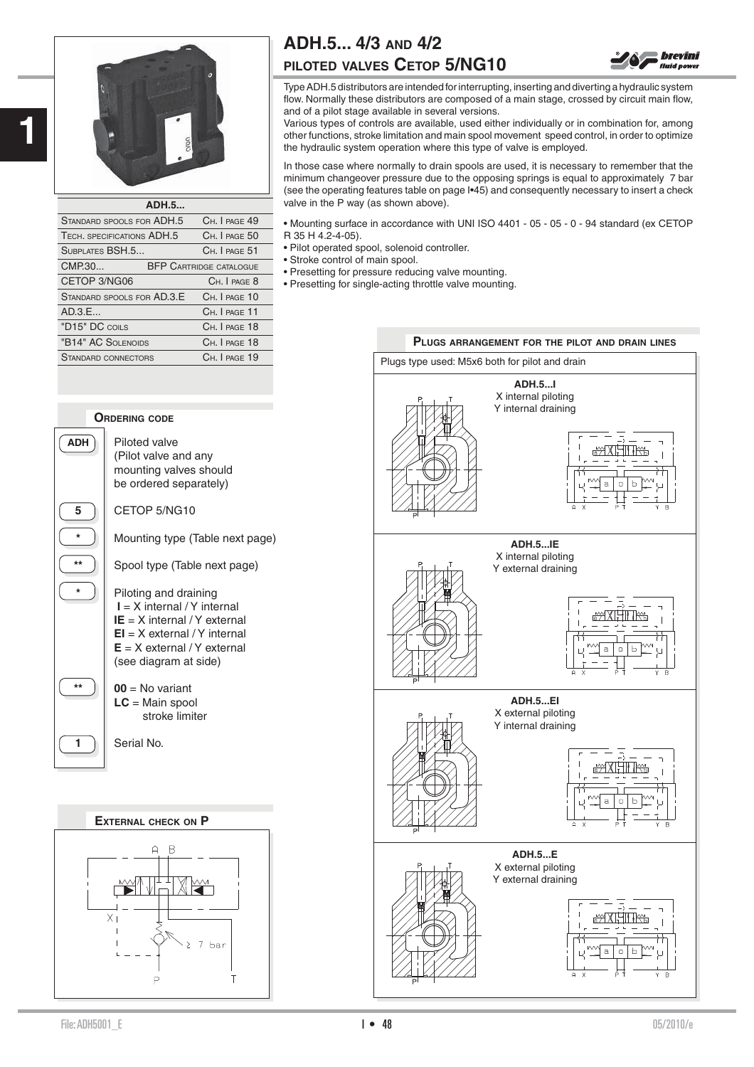

| <b>ADH.5</b>               |  |                                |  |  |  |
|----------------------------|--|--------------------------------|--|--|--|
| STANDARD SPOOLS FOR ADH.5  |  | CH. I PAGE 49                  |  |  |  |
| TECH. SPECIFICATIONS ADH.5 |  | CH. I PAGE 50                  |  |  |  |
| SUBPLATES BSH.5            |  | CH. I PAGE 51                  |  |  |  |
| CMP.30                     |  | <b>BFP CARTRIDGE CATALOGUE</b> |  |  |  |
| CETOP 3/NG06               |  | CH. I PAGE 8                   |  |  |  |
| STANDARD SPOOLS FOR AD.3.E |  | CH. I PAGE 10                  |  |  |  |
| AD.3.E                     |  | CH. I PAGE 11                  |  |  |  |
| "D15" DC COILS             |  | CH. I PAGE 18                  |  |  |  |
| "B14" AC SOLENOIDS         |  | CH. I PAGE 18                  |  |  |  |
| STANDARD CONNECTORS        |  | CH. I PAGE 19                  |  |  |  |
|                            |  |                                |  |  |  |

# **ADH.5... 4/3 AND 4/2**

### **PILOTED VALVES CETOP 5/NG10**

Type ADH.5 distributors are intended for interrupting, inserting and diverting a hydraulic system flow. Normally these distributors are composed of a main stage, crossed by circuit main flow, and of a pilot stage available in several versions.

**brevini fluid** nower

Various types of controls are available, used either individually or in combination for, among other functions, stroke limitation and main spool movement speed control, in order to optimize the hydraulic system operation where this type of valve is employed.

In those case where normally to drain spools are used, it is necessary to remember that the minimum changeover pressure due to the opposing springs is equal to approximately 7 bar (see the operating features table on page I•45) and consequently necessary to insert a check valve in the P way (as shown above).

• Mounting surface in accordance with UNI ISO 4401 - 05 - 05 - 0 - 94 standard (ex CETOP R 35 H 4.2-4-05).

- Pilot operated spool, solenoid controller.
- Stroke control of main spool.
- Presetting for pressure reducing valve mounting.
- Presetting for single-acting throttle valve mounting.



#### **ORDERING CODE**

**ADH** Piloted valve (Pilot valve and any mounting valves should be ordered separately)

**5 L** CETOP 5/NG10

**\*** Mounting type (Table next page)

\*\* **)** Spool type (Table next page)

**\*** Piloting and draining  **I** = X internal / Y internal **IE** = X internal / Y external **EI** = X external / Y internal **E** = X external / Y external (see diagram at side)

 $\begin{bmatrix} \ast \ast \\ \ast \ast \end{bmatrix}$  **00** = No variant **LC** = Main spool stroke limiter

**1** Serial No.

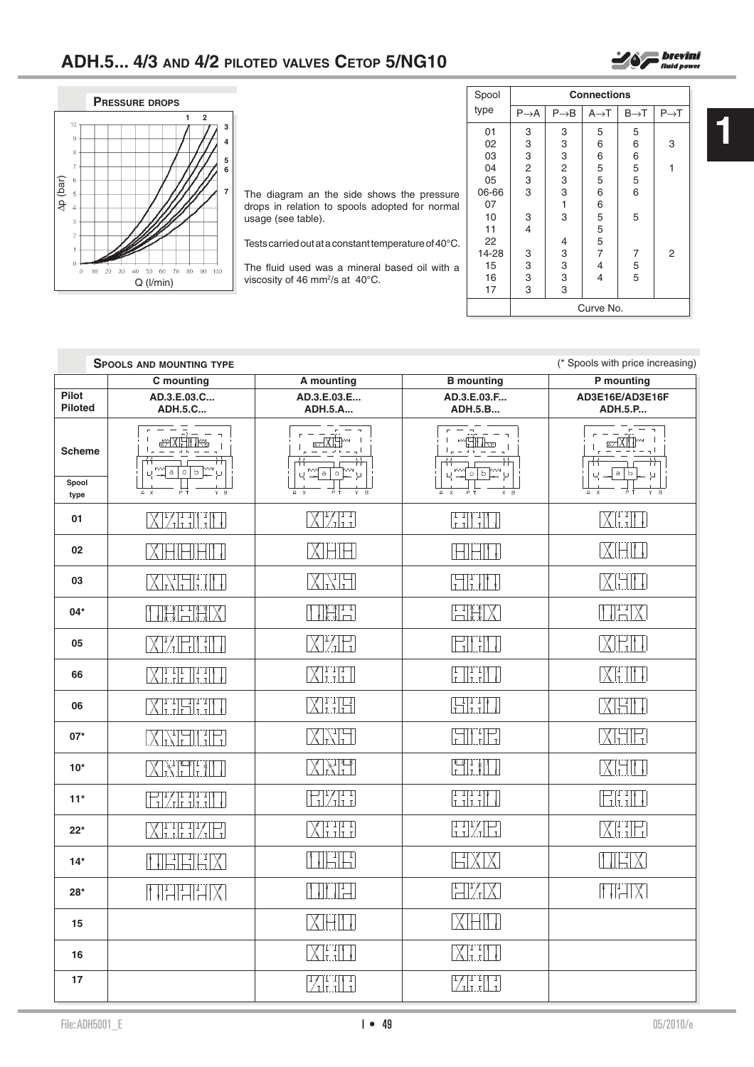

| The diagram an the side shows the pressure<br>drops in relation to spools adopted for normal<br>usage (see table). |
|--------------------------------------------------------------------------------------------------------------------|
| Tests carried out at a constant temperature of $40^{\circ}$ C.                                                     |
| The fluid used wes a mineral besed oil with a                                                                      |

The fluid used was a mineral based oil with a viscosity of 46 mm<sup>2</sup>/s at 40 $^{\circ}$ C.

| Spool | <b>Connections</b>                         |                                            |                   |                  |                  |  |  |
|-------|--------------------------------------------|--------------------------------------------|-------------------|------------------|------------------|--|--|
| type  | $P \rightarrow A$                          | $P\rightarrow B$                           | $A \rightarrow T$ | $B\rightarrow T$ | $P\rightarrow T$ |  |  |
| 01    | 3                                          | 3                                          | 5                 | 5                |                  |  |  |
| 02    |                                            | 3                                          | 6                 | 6                | 3                |  |  |
| 03    |                                            |                                            | 6                 | 6                |                  |  |  |
| 04    |                                            |                                            | 5                 | $\frac{5}{5}$    | 1                |  |  |
| 05    | $\begin{array}{c} 3 \\ 2 \\ 3 \end{array}$ | $\begin{array}{c} 3 \\ 2 \\ 3 \end{array}$ | 5                 |                  |                  |  |  |
| 06-66 | 3                                          | 3                                          | 6                 | 6                |                  |  |  |
| 07    |                                            | 1                                          | 6                 |                  |                  |  |  |
| 10    | 3                                          | 3                                          | 5                 | 5                |                  |  |  |
| 11    | 4                                          |                                            | $\frac{5}{5}$     |                  |                  |  |  |
| 22    |                                            | 4                                          |                   |                  |                  |  |  |
| 14-28 | 3                                          | 3                                          | 7                 | 7                | 2                |  |  |
| 15    | $\frac{3}{3}$                              | $\frac{3}{3}$                              | 4                 | $\frac{5}{5}$    |                  |  |  |
| 16    |                                            |                                            | 4                 |                  |                  |  |  |
| 17    | 3                                          | 3                                          |                   |                  |                  |  |  |
|       | Curve No.                                  |                                            |                   |                  |                  |  |  |

| <b>Connections</b> |                   |                  |                  |  |
|--------------------|-------------------|------------------|------------------|--|
| $P\rightarrow B$   | $A \rightarrow T$ | $B\rightarrow T$ | $P\rightarrow T$ |  |
| 3                  | 5                 | 5                |                  |  |
| 3                  | 6                 | 6                | 3                |  |
| Q                  | ี                 |                  |                  |  |

 $\sum_{\text{fluid power}}$ 

|                                | (* Spools with price increasing)<br><b>SPOOLS AND MOUNTING TYPE</b> |                                        |                                                                                         |                                                                                                                                                                                                 |  |
|--------------------------------|---------------------------------------------------------------------|----------------------------------------|-----------------------------------------------------------------------------------------|-------------------------------------------------------------------------------------------------------------------------------------------------------------------------------------------------|--|
|                                | C mounting                                                          | A mounting                             | <b>B</b> mounting                                                                       | P mounting                                                                                                                                                                                      |  |
| <b>Pilot</b><br><b>Piloted</b> | AD.3.E.03.C<br><b>ADH.5.C</b>                                       | AD.3.E.03.E<br><b>ADH.5.A</b>          | AD.3.E.03.F<br><b>ADH.5.B</b>                                                           | AD3E16E/AD3E16F<br><b>ADH.5.P</b>                                                                                                                                                               |  |
| <b>Scheme</b>                  | $\bar{D} = -1$<br><b>EXEMITING</b><br>$M = 0$                       | X<br>w<br>$\circ$<br>$\texttt{a}$<br>μ | <b>WHITE</b><br>WΝ<br>0   b<br>Д                                                        | $X^+$<br>Ь<br>$\mathbf{a}$<br>$\cup$                                                                                                                                                            |  |
| Spool<br>type                  | ΡŤ<br>$A \times$<br>Y R                                             | $A \times$<br>Y B                      | Y R                                                                                     | Y R<br>A                                                                                                                                                                                        |  |
| 01                             | XETHEL                                                              | XET                                    | $\begin{bmatrix} 1 & 1 \\ 1 & 1 \end{bmatrix} \begin{bmatrix} 1 \\ 1 \end{bmatrix}$     | XHIIT                                                                                                                                                                                           |  |
| 02                             | XHHHHL                                                              | XHH                                    | HHM J                                                                                   | XHIT                                                                                                                                                                                            |  |
| 03                             | XXHHHH                                                              | XHH                                    | HHMT                                                                                    | XHII                                                                                                                                                                                            |  |
| $04*$                          | TEXTER                                                              | TXXI                                   | HHX                                                                                     | <u>HHX</u>                                                                                                                                                                                      |  |
| 05                             | <b>XELT</b>                                                         | XIZ EI                                 | <b>HITIL</b>                                                                            | XHI                                                                                                                                                                                             |  |
| 66                             | <b>XEELIN</b>                                                       | XETI                                   | $\begin{bmatrix} 1 & 1 \\ 1 & 1 \end{bmatrix}$                                          | $\chi_{{\scriptscriptstyle \rm I}{\scriptscriptstyle \rm I}{\scriptscriptstyle \rm I}{\scriptscriptstyle \rm I}{\scriptscriptstyle \rm I}{\scriptscriptstyle \rm I}{\scriptscriptstyle \rm I}}$ |  |
| 06                             | $\boxed{\prod_{i=1}^{r} \prod_{i=1}^{r} \prod_{i=1}^{r} }$          | XHH                                    | HHM                                                                                     | KHIT                                                                                                                                                                                            |  |
| $07*$                          | XXHIHH                                                              | XNH                                    | <b>FILTE</b>                                                                            | MHE                                                                                                                                                                                             |  |
| $10*$                          | <b>XXHHIII</b>                                                      | XXII                                   | $\begin{bmatrix} \begin{smallmatrix} 1 & 1 \\ 1 & 1 \end{smallmatrix} \end{bmatrix}$    | XHII                                                                                                                                                                                            |  |
| $11*$                          | <b>EXECUT</b>                                                       | <b>HYH</b>                             | $\begin{bmatrix} 1 & 1 \\ 1 & 1 \end{bmatrix}$ . $\begin{bmatrix} 1 \\ 1 \end{bmatrix}$ | EHI                                                                                                                                                                                             |  |
| $22*$                          | XHHZE                                                               | XEIII                                  | HKH                                                                                     | XHH                                                                                                                                                                                             |  |
| $14*$                          | <b>THEFX</b>                                                        | THE                                    | HXIXI                                                                                   | MHX                                                                                                                                                                                             |  |
| $28*$                          | <b>THEFIX</b>                                                       | VMH                                    | HKK                                                                                     | HHX                                                                                                                                                                                             |  |
| 15                             |                                                                     | XIHIN                                  | MHH                                                                                     |                                                                                                                                                                                                 |  |
| 16                             |                                                                     | XHII                                   | <b>XHII</b>                                                                             |                                                                                                                                                                                                 |  |
| 17                             |                                                                     | ZHI I                                  | ZHH                                                                                     |                                                                                                                                                                                                 |  |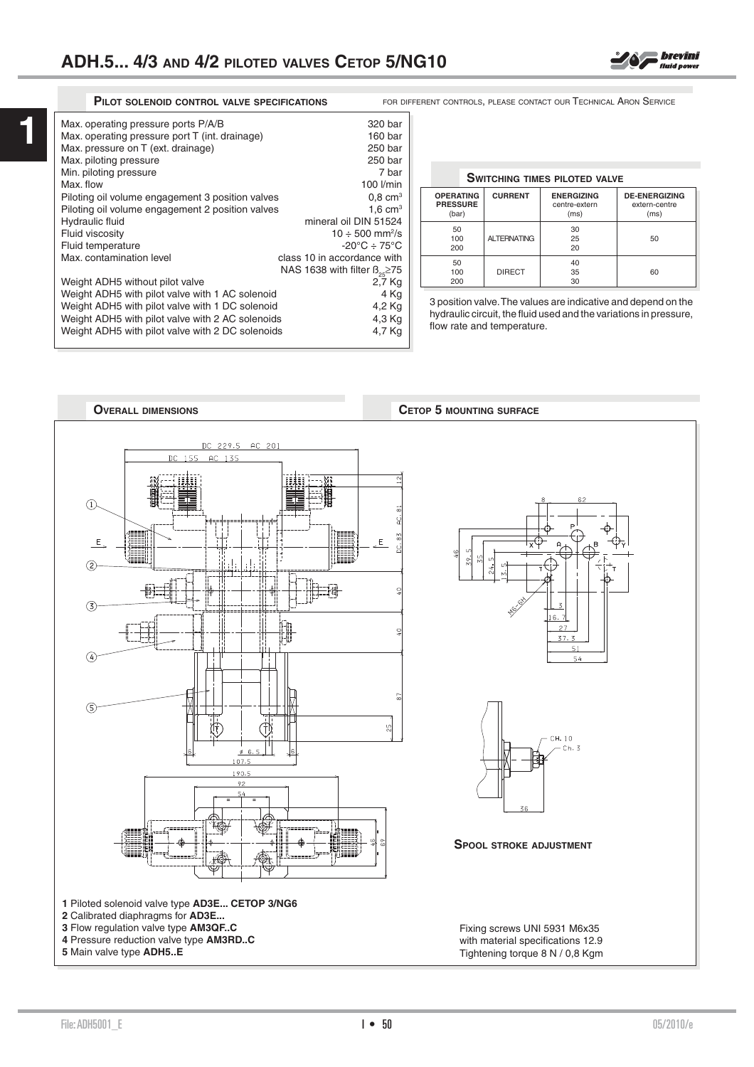**1**

| Max. operating pressure ports P/A/B<br>Max. operating pressure port T (int. drainage)<br>Max. pressure on T (ext. drainage)<br>Max. piloting pressure<br>Min. piloting pressure<br>Max. flow<br>Piloting oil volume engagement 3 position valves<br>Piloting oil volume engagement 2 position valves<br>Hydraulic fluid<br>Fluid viscosity<br>Fluid temperature<br>Max. contamination level<br>Weight ADH5 without pilot valve<br>Weight ADH5 with pilot valve with 1 AC solenoid<br>Weight ADH5 with pilot valve with 1 DC solenoid | 320 bar<br>160 bar<br>250 bar<br>250 bar<br>7 bar<br>100 l/min<br>$0.8 \text{ cm}^3$<br>$1.6 \text{ cm}^3$<br>mineral oil DIN 51524<br>$10 \div 500$ mm <sup>2</sup> /s<br>$-20^{\circ}$ C $\div$ 75°C<br>class 10 in accordance with<br>NAS 1638 with filter $B_{25} \ge 75$<br>2,7 Kg<br>4 Kg<br>4,2 Kg |
|--------------------------------------------------------------------------------------------------------------------------------------------------------------------------------------------------------------------------------------------------------------------------------------------------------------------------------------------------------------------------------------------------------------------------------------------------------------------------------------------------------------------------------------|-----------------------------------------------------------------------------------------------------------------------------------------------------------------------------------------------------------------------------------------------------------------------------------------------------------|
|                                                                                                                                                                                                                                                                                                                                                                                                                                                                                                                                      |                                                                                                                                                                                                                                                                                                           |
|                                                                                                                                                                                                                                                                                                                                                                                                                                                                                                                                      |                                                                                                                                                                                                                                                                                                           |
| Weight ADH5 with pilot valve with 2 AC solenoids<br>Weight ADH5 with pilot valve with 2 DC solenoids                                                                                                                                                                                                                                                                                                                                                                                                                                 | 4,3 Kg<br>4,7 Kg                                                                                                                                                                                                                                                                                          |
|                                                                                                                                                                                                                                                                                                                                                                                                                                                                                                                                      |                                                                                                                                                                                                                                                                                                           |

**PILOT SOLENOID CONTROL VALVE SPECIFICATIONS** FOR DIFFERENT CONTROLS, PLEASE CONTACT OUR TECHNICAL ARON SERVICE

## **SWITCHING TIMES PILOTED VALVE OPERATING CURRENT ENERGIZING DE-ENERGIZING**

| <b>PRESSURE</b><br>(bar) |                    | centre-extern<br>(ms) | extern-centre<br>(ms) |  |
|--------------------------|--------------------|-----------------------|-----------------------|--|
| 50<br>100<br>200         | <b>ALTERNATING</b> | 30<br>25<br>20        | 50                    |  |
| 50<br>100<br>200         | <b>DIRECT</b>      | 40<br>35<br>30        | 60                    |  |

3 position valve. The values are indicative and depend on the hydraulic circuit, the fluid used and the variations in pressure, flow rate and temperature.